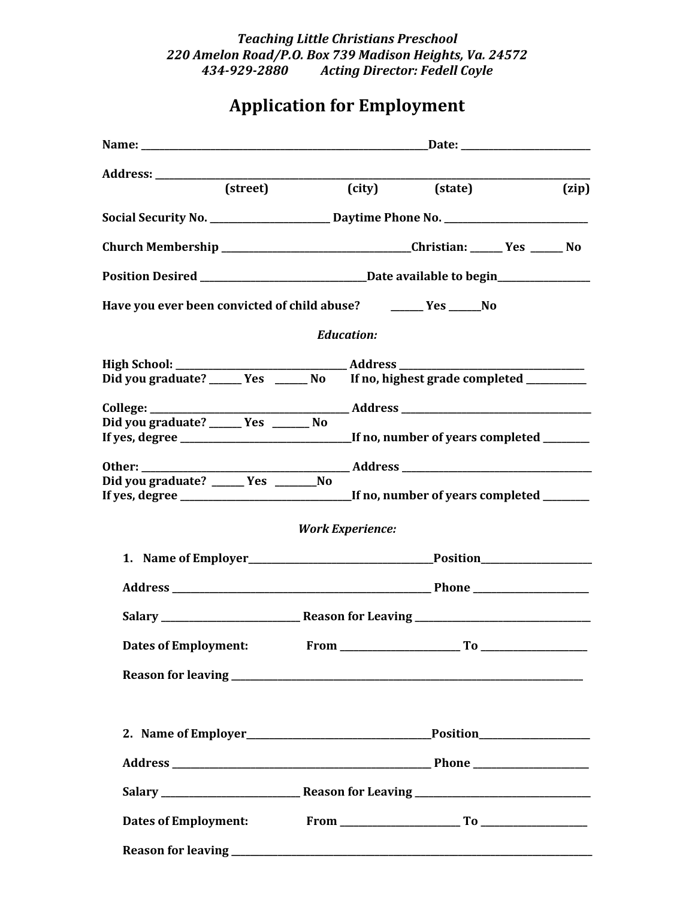## *Teaching Little Christians Preschool 220 Amelon Road/P.O. Box 739 Madison Heights, Va. 24572 434-929-2880 Acting Director: Fedell Coyle*

## **Application for Employment**

| (street)                                                                               |  | (city)                  | (state) |  | (zip) |
|----------------------------------------------------------------------------------------|--|-------------------------|---------|--|-------|
|                                                                                        |  |                         |         |  |       |
| Church Membership ________________________________Christian: ______Yes ______No        |  |                         |         |  |       |
|                                                                                        |  |                         |         |  |       |
| Have you ever been convicted of child abuse? _______ Yes ______No                      |  |                         |         |  |       |
|                                                                                        |  | <b>Education:</b>       |         |  |       |
|                                                                                        |  |                         |         |  |       |
| Did you graduate? ______ Yes ______ No If no, highest grade completed __________       |  |                         |         |  |       |
|                                                                                        |  |                         |         |  |       |
| Did you graduate? ______ Yes _______ No                                                |  |                         |         |  |       |
| If yes, degree _______________________________If no, number of years completed _______ |  |                         |         |  |       |
| Other: _______                                                                         |  |                         |         |  |       |
| Did you graduate? _____ Yes ________No                                                 |  |                         |         |  |       |
|                                                                                        |  |                         |         |  |       |
|                                                                                        |  | <b>Work Experience:</b> |         |  |       |
|                                                                                        |  |                         |         |  |       |
|                                                                                        |  |                         |         |  |       |
|                                                                                        |  |                         |         |  |       |
| <b>Dates of Employment:</b>                                                            |  |                         |         |  |       |
|                                                                                        |  |                         |         |  |       |
|                                                                                        |  |                         |         |  |       |
|                                                                                        |  |                         |         |  |       |
|                                                                                        |  |                         |         |  |       |
|                                                                                        |  |                         |         |  |       |
|                                                                                        |  |                         |         |  |       |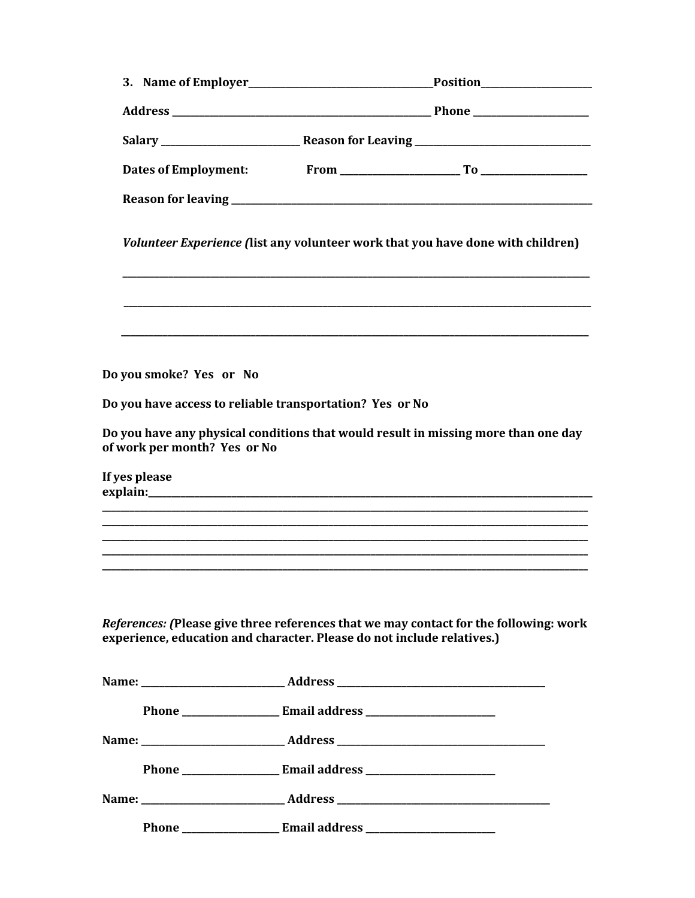|               |                                                          | Volunteer Experience (list any volunteer work that you have done with children)                                                                                 |
|---------------|----------------------------------------------------------|-----------------------------------------------------------------------------------------------------------------------------------------------------------------|
|               |                                                          |                                                                                                                                                                 |
|               | Do you smoke? Yes or No                                  |                                                                                                                                                                 |
|               | Do you have access to reliable transportation? Yes or No |                                                                                                                                                                 |
|               | of work per month? Yes or No                             | Do you have any physical conditions that would result in missing more than one day                                                                              |
| If yes please |                                                          |                                                                                                                                                                 |
|               |                                                          |                                                                                                                                                                 |
|               |                                                          |                                                                                                                                                                 |
|               |                                                          |                                                                                                                                                                 |
|               |                                                          | References: (Please give three references that we may contact for the following: work<br>experience, education and character. Please do not include relatives.) |
|               |                                                          |                                                                                                                                                                 |
|               |                                                          |                                                                                                                                                                 |
|               |                                                          |                                                                                                                                                                 |
|               |                                                          |                                                                                                                                                                 |
|               |                                                          |                                                                                                                                                                 |
|               |                                                          |                                                                                                                                                                 |